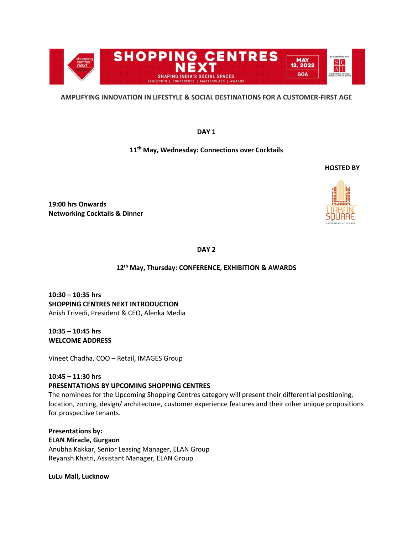

### **AMPLIFYING INNOVATION IN LIFESTYLE & SOCIAL DESTINATIONS FOR A CUSTOMER-FIRST AGE**

**DAY 1**

# **11th May, Wednesday: Connections over Cocktails**

 **HOSTED BY**

**19:00 hrs Onwards Networking Cocktails & Dinner** 

**DAY 2**

## **12th May, Thursday: CONFERENCE, EXHIBITION & AWARDS**

**10:30 – 10:35 hrs SHOPPING CENTRES NEXT INTRODUCTION** Anish Trivedi, President & CEO, Alenka Media

**10:35 – 10:45 hrs WELCOME ADDRESS** 

Vineet Chadha, COO – Retail, IMAGES Group

## **10:45 – 11:30 hrs PRESENTATIONS BY UPCOMING SHOPPING CENTRES**

The nominees for the Upcoming Shopping Centres category will present their differential positioning, location, zoning, design/ architecture, customer experience features and their other unique propositions for prospective tenants.

**Presentations by: ELAN Miracle, Gurgaon** Anubha Kakkar, Senior Leasing Manager, ELAN Group Reyansh Khatri, Assistant Manager, ELAN Group

**LuLu Mall, Lucknow**

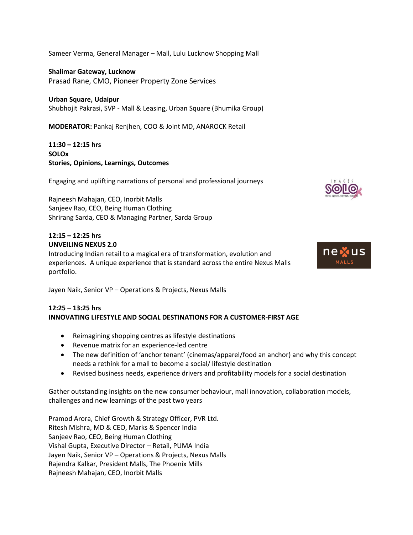Sameer Verma, General Manager – Mall, Lulu Lucknow Shopping Mall

**Shalimar Gateway, Lucknow** Prasad Rane, CMO, Pioneer Property Zone Services

**Urban Square, Udaipur** Shubhojit Pakrasi, SVP - Mall & Leasing, Urban Square (Bhumika Group)

**MODERATOR:** Pankaj Renjhen, COO & Joint MD, ANAROCK Retail

**11:30 – 12:15 hrs SOLOx Stories, Opinions, Learnings, Outcomes**

Engaging and uplifting narrations of personal and professional journeys

Rajneesh Mahajan, CEO, Inorbit Malls Sanjeev Rao, CEO, Being Human Clothing Shrirang Sarda, CEO & Managing Partner, Sarda Group

# **12:15 – 12:25 hrs UNVEILING NEXUS 2.0**

Introducing Indian retail to a magical era of transformation, evolution and experiences. A unique experience that is standard across the entire Nexus Malls portfolio.



### **12:25 – 13:25 hrs INNOVATING LIFESTYLE AND SOCIAL DESTINATIONS FOR A CUSTOMER-FIRST AGE**

- Reimagining shopping centres as lifestyle destinations
- Revenue matrix for an experience-led centre
- The new definition of 'anchor tenant' (cinemas/apparel/food an anchor) and why this concept needs a rethink for a mall to become a social/ lifestyle destination
- Revised business needs, experience drivers and profitability models for a social destination

Gather outstanding insights on the new consumer behaviour, mall innovation, collaboration models, challenges and new learnings of the past two years

Pramod Arora, Chief Growth & Strategy Officer, PVR Ltd. Ritesh Mishra, MD & CEO, Marks & Spencer India Sanjeev Rao, CEO, Being Human Clothing Vishal Gupta, Executive Director – Retail, PUMA India Jayen Naik, Senior VP – Operations & Projects, Nexus Malls Rajendra Kalkar, President Malls, The Phoenix Mills Rajneesh Mahajan, CEO, Inorbit Malls



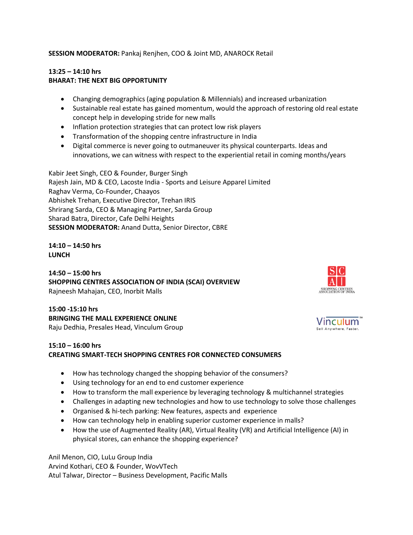**SESSION MODERATOR:** Pankaj Renjhen, COO & Joint MD, ANAROCK Retail

## **13:25 – 14:10 hrs BHARAT: THE NEXT BIG OPPORTUNITY**

- Changing demographics (aging population & Millennials) and increased urbanization
- Sustainable real estate has gained momentum, would the approach of restoring old real estate concept help in developing stride for new malls
- Inflation protection strategies that can protect low risk players
- Transformation of the shopping centre infrastructure in India
- Digital commerce is never going to outmaneuver its physical counterparts. Ideas and innovations, we can witness with respect to the experiential retail in coming months/years

Kabir Jeet Singh, CEO & Founder, Burger Singh Rajesh Jain, MD & CEO, Lacoste India - Sports and Leisure Apparel Limited Raghav Verma, Co-Founder, Chaayos Abhishek Trehan, Executive Director, Trehan IRIS Shrirang Sarda, CEO & Managing Partner, Sarda Group Sharad Batra, Director, Cafe Delhi Heights **SESSION MODERATOR:** Anand Dutta, Senior Director, CBRE

**14:10 – 14:50 hrs LUNCH**

**14:50 – 15:00 hrs SHOPPING CENTRES ASSOCIATION OF INDIA (SCAI) OVERVIEW**  Rajneesh Mahajan, CEO, Inorbit Malls

**15:00 -15:10 hrs BRINGING THE MALL EXPERIENCE ONLINE**  Raju Dedhia, Presales Head, Vinculum Group

## **15:10 – 16:00 hrs**

# **CREATING SMART-TECH SHOPPING CENTRES FOR CONNECTED CONSUMERS**

- How has technology changed the shopping behavior of the consumers?
- Using technology for an end to end customer experience
- How to transform the mall experience by leveraging technology & multichannel strategies
- Challenges in adapting new technologies and how to use technology to solve those challenges
- Organised & hi-tech parking: New features, aspects and experience
- How can technology help in enabling superior customer experience in malls?
- How the use of Augmented Reality (AR), Virtual Reality (VR) and Artificial Intelligence (AI) in physical stores, can enhance the shopping experience?

Anil Menon, CIO, LuLu Group India Arvind Kothari, CEO & Founder, WovVTech Atul Talwar, Director – Business Development, Pacific Malls



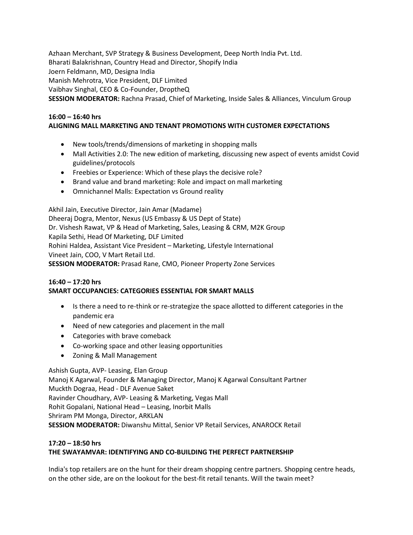Azhaan Merchant, SVP Strategy & Business Development, Deep North India Pvt. Ltd. Bharati Balakrishnan, Country Head and Director, Shopify India Joern Feldmann, MD, Designa India Manish Mehrotra, Vice President, DLF Limited Vaibhav Singhal, CEO & Co-Founder, DroptheQ **SESSION MODERATOR:** Rachna Prasad, Chief of Marketing, Inside Sales & Alliances, Vinculum Group

# **16:00 – 16:40 hrs ALIGNING MALL MARKETING AND TENANT PROMOTIONS WITH CUSTOMER EXPECTATIONS**

- New tools/trends/dimensions of marketing in shopping malls
- Mall Activities 2.0: The new edition of marketing, discussing new aspect of events amidst Covid guidelines/protocols
- Freebies or Experience: Which of these plays the decisive role?
- Brand value and brand marketing: Role and impact on mall marketing
- Omnichannel Malls: Expectation vs Ground reality

Akhil Jain, Executive Director, Jain Amar (Madame)

Dheeraj Dogra, Mentor, Nexus (US Embassy & US Dept of State) Dr. Vishesh Rawat, VP & Head of Marketing, Sales, Leasing & CRM, M2K Group Kapila Sethi, Head Of Marketing, DLF Limited Rohini Haldea, Assistant Vice President – Marketing, Lifestyle International Vineet Jain, COO, V Mart Retail Ltd.

**SESSION MODERATOR:** Prasad Rane, CMO, Pioneer Property Zone Services

## **16:40 – 17:20 hrs SMART OCCUPANCIES: CATEGORIES ESSENTIAL FOR SMART MALLS**

- Is there a need to re-think or re-strategize the space allotted to different categories in the pandemic era
- Need of new categories and placement in the mall
- Categories with brave comeback
- Co-working space and other leasing opportunities
- Zoning & Mall Management

Ashish Gupta, AVP- Leasing, Elan Group Manoj K Agarwal, Founder & Managing Director, Manoj K Agarwal Consultant Partner Muckth Dograa, Head - DLF Avenue Saket Ravinder Choudhary, AVP- Leasing & Marketing, Vegas Mall Rohit Gopalani, National Head – Leasing, Inorbit Malls Shriram PM Monga, Director, ARKLAN **SESSION MODERATOR:** Diwanshu Mittal, Senior VP Retail Services, ANAROCK Retail

## **17:20 – 18:50 hrs THE SWAYAMVAR: IDENTIFYING AND CO-BUILDING THE PERFECT PARTNERSHIP**

India's top retailers are on the hunt for their dream shopping centre partners. Shopping centre heads, on the other side, are on the lookout for the best-fit retail tenants. Will the twain meet?